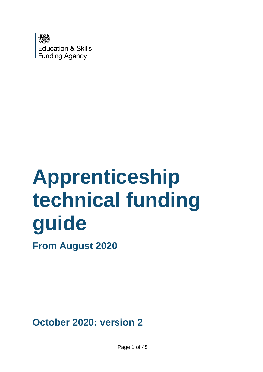

# **Apprenticeship technical funding guide**

**From August 2020**

**October 2020: version 2**

Page 1 of 45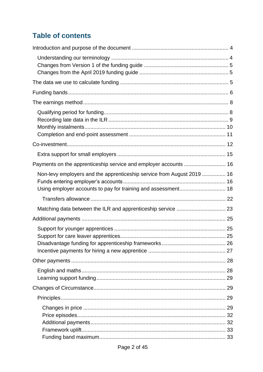## **Table of contents**

| Payments on the apprenticeship service and employer accounts  16       |  |
|------------------------------------------------------------------------|--|
| Non-levy employers and the apprenticeship service from August 2019  16 |  |
|                                                                        |  |
|                                                                        |  |
|                                                                        |  |
|                                                                        |  |
|                                                                        |  |
|                                                                        |  |
|                                                                        |  |
|                                                                        |  |
|                                                                        |  |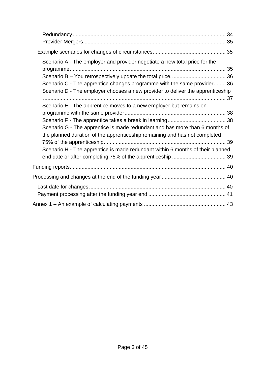| Scenario A - The employer and provider negotiate a new total price for the<br>Scenario C - The apprentice changes programme with the same provider 36<br>Scenario D - The employer chooses a new provider to deliver the apprenticeship<br>Scenario E - The apprentice moves to a new employer but remains on-<br>Scenario G - The apprentice is made redundant and has more than 6 months of<br>the planned duration of the apprenticeship remaining and has not completed<br>Scenario H - The apprentice is made redundant within 6 months of their planned |  |
|---------------------------------------------------------------------------------------------------------------------------------------------------------------------------------------------------------------------------------------------------------------------------------------------------------------------------------------------------------------------------------------------------------------------------------------------------------------------------------------------------------------------------------------------------------------|--|
|                                                                                                                                                                                                                                                                                                                                                                                                                                                                                                                                                               |  |
|                                                                                                                                                                                                                                                                                                                                                                                                                                                                                                                                                               |  |
|                                                                                                                                                                                                                                                                                                                                                                                                                                                                                                                                                               |  |
|                                                                                                                                                                                                                                                                                                                                                                                                                                                                                                                                                               |  |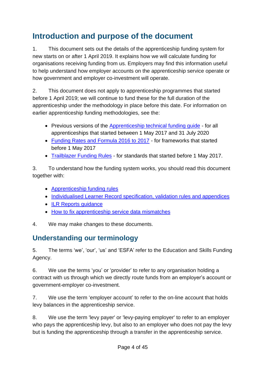# <span id="page-3-0"></span>**Introduction and purpose of the document**

1. This document sets out the details of the apprenticeship funding system for new starts on or after 1 April 2019. It explains how we will calculate funding for organisations receiving funding from us. Employers may find this information useful to help understand how employer accounts on the apprenticeship service operate or how government and employer co-investment will operate.

2. This document does not apply to apprenticeship programmes that started before 1 April 2019; we will continue to fund these for the full duration of the apprenticeship under the methodology in place before this date. For information on earlier apprenticeship funding methodologies, see the:

- Previous versions of the [Apprenticeship technical funding guide](https://www.gov.uk/government/publications/apprenticeship-technical-funding-guide) for all apprenticeships that started between 1 May 2017 and 31 July 2020
- [Funding Rates and Formula 2016 to 2017](https://www.gov.uk/government/publications/sfa-funding-rates-and-formula-2016-to-2017) for frameworks that started before 1 May 2017
- [Trailblazer Funding Rules](https://www.gov.uk/government/publications/apprenticeship-standards-funding-rules) for standards that started before 1 May 2017.

3. To understand how the funding system works, you should read this document together with:

- **[Apprenticeship funding rules](https://www.gov.uk/guidance/apprenticeship-funding-rules)**
- [Individualised Learner Record specification, validation rules and appendices](https://guidance.submitlearnerdatabeta.fasst.org.uk/ilr)
- [ILR Reports guidance](https://www.gov.uk/government/publications/check-ilr-reports-for-possible-data-errors-in-your-return)
- [How to fix apprenticeship service data mismatches](https://www.gov.uk/government/publications/how-to-fix-apprenticeship-service-data-mismatches/how-to-fix-apprenticeship-service-data-mismatches)
- 4. We may make changes to these documents.

## <span id="page-3-1"></span>**Understanding our terminology**

5. The terms 'we', 'our', 'us' and 'ESFA' refer to the Education and Skills Funding Agency.

6. We use the terms 'you' or 'provider' to refer to any organisation holding a contract with us through which we directly route funds from an employer's account or government-employer co-investment.

7. We use the term 'employer account' to refer to the on-line account that holds levy balances in the apprenticeship service.

8. We use the term 'levy payer' or 'levy-paying employer' to refer to an employer who pays the apprenticeship levy, but also to an employer who does not pay the levy but is funding the apprenticeship through a transfer in the apprenticeship service.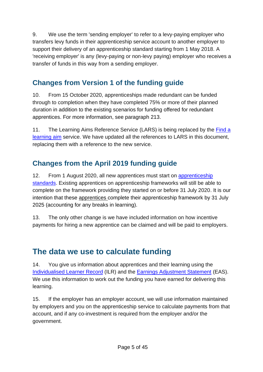9. We use the term 'sending employer' to refer to a levy-paying employer who transfers levy funds in their apprenticeship service account to another employer to support their delivery of an apprenticeship standard starting from 1 May 2018. A 'receiving employer' is any (levy-paying or non-levy paying) employer who receives a transfer of funds in this way from a sending employer.

## <span id="page-4-0"></span>**Changes from Version 1 of the funding guide**

10. From 15 October 2020, apprenticeships made redundant can be funded through to completion when they have completed 75% or more of their planned duration in addition to the existing scenarios for funding offered for redundant apprentices. For more information, see paragraph [213.](#page-33-1)

11. The Learning Aims Reference Service (LARS) is being replaced by the [Find a](https://findalearningaimbeta.fasst.org.uk/) [learning aim](https://findalearningaimbeta.fasst.org.uk/) service. We have updated all the references to LARS in this document, replacing them with a reference to the new service.

## <span id="page-4-1"></span>**Changes from the April 2019 funding guide**

12. From 1 August 2020, all new apprentices must start on [apprenticeship](https://www.instituteforapprenticeships.org/apprenticeship-standards/)  [standards.](https://www.instituteforapprenticeships.org/apprenticeship-standards/) Existing apprentices on apprenticeship frameworks will still be able to complete on the framework providing they started on or before 31 July 2020. It is our intention that these apprentices complete their apprenticeship framework by 31 July 2025 (accounting for any breaks in learning).

13. The only other change is we have included information on how incentive payments for hiring a new apprentice can be claimed and will be paid to employers.

# <span id="page-4-2"></span>**The data we use to calculate funding**

14. You give us information about apprentices and their learning using the [Individualised Learner Record](https://guidance.submitlearnerdatabeta.fasst.org.uk/ilr) (ILR) and the [Earnings Adjustment Statement](https://www.gov.uk/government/publications/earnings-adjustment-statement-eas-2020-to-2021) (EAS). We use this information to work out the funding you have earned for delivering this learning.

15. If the employer has an employer account, we will use information maintained by employers and you on the apprenticeship service to calculate payments from that account, and if any co-investment is required from the employer and/or the government.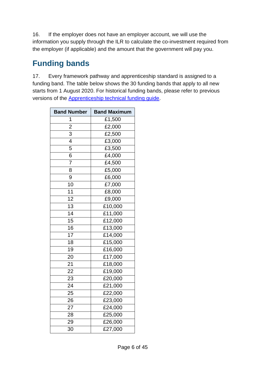16. If the employer does not have an employer account, we will use the information you supply through the ILR to calculate the co-investment required from the employer (if applicable) and the amount that the government will pay you.

# <span id="page-5-0"></span>**Funding bands**

17. Every framework pathway and apprenticeship standard is assigned to a funding band. The table below shows the 30 funding bands that apply to all new starts from 1 August 2020. For historical funding bands, please refer to previous versions of the [Apprenticeship technical funding guide.](https://www.gov.uk/government/publications/apprenticeship-technical-funding-guide)

| <b>Band Number</b> | <b>Band Maximum</b>   |  |  |
|--------------------|-----------------------|--|--|
| 1                  | £1,500                |  |  |
| $\overline{2}$     | £2,000                |  |  |
| $\overline{3}$     | £2,500                |  |  |
| 4                  | £3,000                |  |  |
| 5                  | £3,500                |  |  |
| 6                  | £4,000                |  |  |
| 7                  | £4,500                |  |  |
| 8                  | £5,000                |  |  |
| 9                  | £6,000                |  |  |
| 10                 | £7,000                |  |  |
| 11                 | £8,000                |  |  |
| $\overline{12}$    | £9,000                |  |  |
| $\overline{13}$    | $\overline{£}$ 10,000 |  |  |
| 14                 | £11,000               |  |  |
| 15                 | £12,000               |  |  |
| 16                 | £13,000               |  |  |
| 17                 | £14,000               |  |  |
| 18                 | £15,000               |  |  |
| 19                 | £16,000               |  |  |
| 20                 | £17,000               |  |  |
| 21                 | £18,000               |  |  |
| 22                 | £19,000               |  |  |
| 23                 | £20,000               |  |  |
| 24                 | £21,000               |  |  |
| 25                 | £22,000               |  |  |
| 26                 | £23,000               |  |  |
| 27                 | £24,000               |  |  |
| 28                 | £25,000               |  |  |
| 29                 | £26,000               |  |  |
| 30                 | £27,000               |  |  |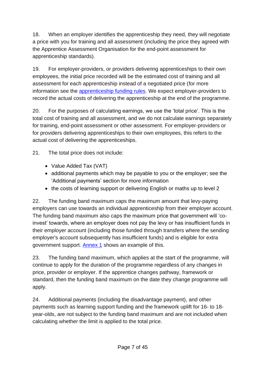18. When an employer identifies the apprenticeship they need, they will negotiate a price with you for training and all assessment (including the price they agreed with the Apprentice Assessment Organisation for the end-point assessment for apprenticeship standards).

19. For employer-providers, or providers delivering apprenticeships to their own employees, the initial price recorded will be the estimated cost of training and all assessment for each apprenticeship instead of a negotiated price (for more information see the [apprenticeship funding rules.](https://www.gov.uk/guidance/apprenticeship-funding-rules) We expect employer-providers to record the actual costs of delivering the apprenticeship at the end of the programme.

20. For the purposes of calculating earnings, we use the 'total price'. This is the total cost of training and all assessment, and we do not calculate earnings separately for training, end-point assessment or other assessment. For employer-providers or for providers delivering apprenticeships to their own employees, this refers to the actual cost of delivering the apprenticeships.

21. The total price does not include:

- Value Added Tax (VAT)
- additional payments which may be payable to you or the employer; see the 'Additional payments' section for more information
- the costs of learning support or delivering English or maths up to level 2

22. The funding band maximum caps the maximum amount that levy-paying employers can use towards an individual apprenticeship from their employer account. The funding band maximum also caps the maximum price that government will 'coinvest' towards, where an employer does not pay the levy or has insufficient funds in their employer account (including those funded through transfers where the sending employer's account subsequently has insufficient funds) and is eligible for extra government support. [Annex 1](#page-42-0) shows an example of this.

23. The funding band maximum, which applies at the start of the programme, will continue to apply for the duration of the programme regardless of any changes in price, provider or employer. If the apprentice changes pathway, framework or standard, then the funding band maximum on the date they change programme will apply.

24. Additional payments (including the disadvantage payment), and other payments such as learning support funding and the framework uplift for 16- to 18 year-olds, are not subject to the funding band maximum and are not included when calculating whether the limit is applied to the total price.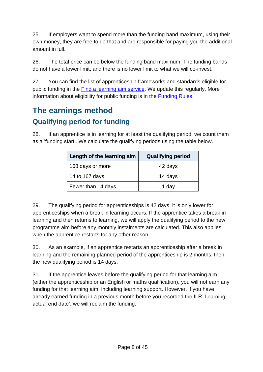25. If employers want to spend more than the funding band maximum, using their own money, they are free to do that and are responsible for paying you the additional amount in full.

26. The total price can be below the funding band maximum. The funding bands do not have a lower limit, and there is no lower limit to what we will co-invest.

27. You can find the list of apprenticeship frameworks and standards eligible for public funding in the Find a [learning aim service.](https://findalearningaimbeta.fasst.org.uk/) We update this regularly. More information about eligibility for public funding is in the [Funding Rules.](https://www.gov.uk/guidance/apprenticeship-funding-rules)

# <span id="page-7-1"></span><span id="page-7-0"></span>**The earnings method Qualifying period for funding**

28. If an apprentice is in learning for at least the qualifying period, we count them as a 'funding start'. We calculate the qualifying periods using the table below.

| Length of the learning aim | <b>Qualifying period</b> |
|----------------------------|--------------------------|
| 168 days or more           | 42 days                  |
| 14 to 167 days             | 14 days                  |
| Fewer than 14 days         | 1 day                    |

29. The qualifying period for apprenticeships is 42 days; it is only lower for apprenticeships when a break in learning occurs. If the apprentice takes a break in learning and then returns to learning, we will apply the qualifying period to the new programme aim before any monthly instalments are calculated. This also applies when the apprentice restarts for any other reason.

30. As an example, if an apprentice restarts an apprenticeship after a break in learning and the remaining planned period of the apprenticeship is 2 months, then the new qualifying period is 14 days.

31. If the apprentice leaves before the qualifying period for that learning aim (either the apprenticeship or an English or maths qualification), you will not earn any funding for that learning aim, including learning support. However, if you have already earned funding in a previous month before you recorded the ILR 'Learning actual end date', we will reclaim the funding.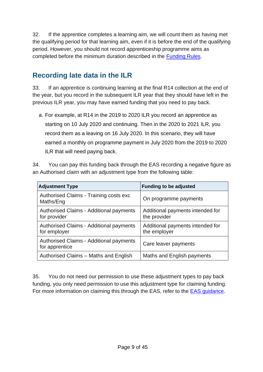32. If the apprentice completes a learning aim, we will count them as having met the qualifying period for that learning aim, even if it is before the end of the qualifying period. However, you should not record apprenticeship programme aims as completed before the minimum duration described in the [Funding Rules.](https://www.gov.uk/guidance/apprenticeship-funding-rules)

## <span id="page-8-0"></span>**Recording late data in the ILR**

<span id="page-8-1"></span>33. If an apprentice is continuing learning at the final R14 collection at the end of the year, but you record in the subsequent ILR year that they should have left in the previous ILR year, you may have earned funding that you need to pay back.

a. For example, at R14 in the 2019 to 2020 ILR you record an apprentice as starting on 10 July 2020 and continuing. Then in the 2020 to 2021 ILR, you record them as a leaving on 16 July 2020. In this scenario, they will have earned a monthly on programme payment in July 2020 from the 2019 to 2020 ILR that will need paying back.

34. You can pay this funding back through the EAS recording a negative figure as an Authorised claim with an adjustment type from the following table:

| <b>Adjustment Type</b>                                         | <b>Funding to be adjusted</b>                    |
|----------------------------------------------------------------|--------------------------------------------------|
| Authorised Claims - Training costs exc<br>Maths/Eng            | On programme payments                            |
| <b>Authorised Claims - Additional payments</b><br>for provider | Additional payments intended for<br>the provider |
| <b>Authorised Claims - Additional payments</b><br>for employer | Additional payments intended for<br>the employer |
| Authorised Claims - Additional payments<br>for apprentice      | Care leaver payments                             |
| Authorised Claims - Maths and English                          | Maths and English payments                       |

35. You do not need our permission to use these adjustment types to pay back funding, you only need permission to use this adjustment type for claiming funding. For more information on claiming this through the EAS, refer to the **EAS** guidance.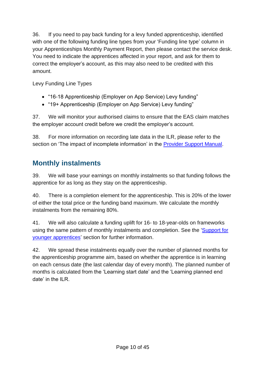36. If you need to pay back funding for a levy funded apprenticeship, identified with one of the following funding line types from your 'Funding line type' column in your Apprenticeships Monthly Payment Report, then please contact the service desk. You need to indicate the apprentices affected in your report, and ask for them to correct the employer's account, as this may also need to be credited with this amount.

Levy Funding Line Types

- "16-18 Apprenticeship (Employer on App Service) Levy funding"
- "19+ Apprenticeship (Employer on App Service) Levy funding"

37. We will monitor your authorised claims to ensure that the EAS claim matches the employer account credit before we credit the employer's account.

38. For more information on recording late data in the ILR, please refer to the section on 'The impact of incomplete information' in the **Provider Support Manual**.

## <span id="page-9-0"></span>**Monthly instalments**

39. We will base your earnings on monthly instalments so that funding follows the apprentice for as long as they stay on the apprenticeship.

40. There is a completion element for the apprenticeship. This is 20% of the lower of either the total price or the funding band maximum. We calculate the monthly instalments from the remaining 80%.

41. We will also calculate a funding uplift for 16- to 18-year-olds on frameworks using the same pattern of monthly instalments and completion. See the ['Support for](#page-24-1)  [younger apprentices'](#page-24-1) section for further information.

42. We spread these instalments equally over the number of planned months for the apprenticeship programme aim, based on whether the apprentice is in learning on each census date (the last calendar day of every month). The planned number of months is calculated from the 'Learning start date' and the 'Learning planned end date' in the ILR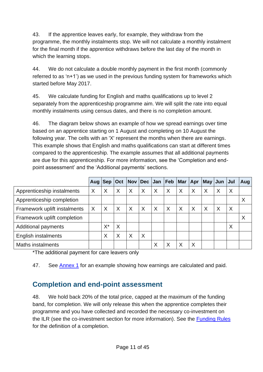43. If the apprentice leaves early, for example, they withdraw from the programme, the monthly instalments stop. We will not calculate a monthly instalment for the final month if the apprentice withdraws before the last day of the month in which the learning stops.

44. We do not calculate a double monthly payment in the first month (commonly referred to as 'n+1') as we used in the previous funding system for frameworks which started before May 2017.

45. We calculate funding for English and maths qualifications up to level 2 separately from the apprenticeship programme aim. We will split the rate into equal monthly instalments using census dates, and there is no completion amount.

46. The diagram below shows an example of how we spread earnings over time based on an apprentice starting on 1 August and completing on 10 August the following year. The cells with an 'X' represent the months when there are earnings. This example shows that English and maths qualifications can start at different times compared to the apprenticeship. The example assumes that all additional payments are due for this apprenticeship. For more information, see the 'Completion and endpoint assessment' and the 'Additional payments' sections.

|                              | Aug Sep |    |          |   | Oct   Nov   Dec   Jan   Feb   Mar |   |          |          | $ $ Apr | May Jun Jul  |   |   | Aug |
|------------------------------|---------|----|----------|---|-----------------------------------|---|----------|----------|---------|--------------|---|---|-----|
| Apprenticeship instalments   | X       | X  | $\times$ | X | X                                 | X | X        | X        | X       | $\mathsf{X}$ | X | X |     |
| Apprenticeship completion    |         |    |          |   |                                   |   |          |          |         |              |   |   | X   |
| Framework uplift instalments | X       | X  | $\times$ | X | $\times$                          | X | $\times$ | $\times$ | X       | $\times$     | X | X |     |
| Framework uplift completion  |         |    |          |   |                                   |   |          |          |         |              |   |   | X   |
| <b>Additional payments</b>   |         | X* | $\times$ |   |                                   |   |          |          |         |              |   | Χ |     |
| English instalments          |         | Χ  | $\times$ | X | X                                 |   |          |          |         |              |   |   |     |
| <b>Maths instalments</b>     |         |    |          |   |                                   | Χ | Χ        | Χ        | X       |              |   |   |     |

\*The additional payment for care leavers only

47. See [Annex 1](#page-42-0) for an example showing how earnings are calculated and paid.

## <span id="page-10-0"></span>**Completion and end-point assessment**

48. We hold back 20% of the total price, capped at the maximum of the funding band, for completion. We will only release this when the apprentice completes their programme and you have collected and recorded the necessary co-investment on the ILR (see the co-investment section for more information). See the [Funding Rules](https://www.gov.uk/guidance/apprenticeship-funding-rules) for the definition of a completion.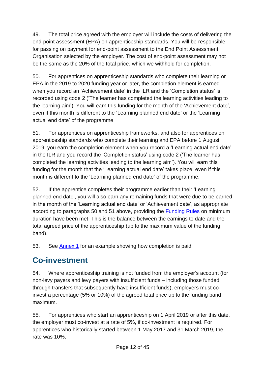49. The total price agreed with the employer will include the costs of delivering the end-point assessment (EPA) on apprenticeship standards. You will be responsible for passing on payment for end-point assessment to the End Point Assessment Organisation selected by the employer. The cost of end-point assessment may not be the same as the 20% of the total price, which we withhold for completion.

<span id="page-11-1"></span>50. For apprentices on apprenticeship standards who complete their learning or EPA in the 2019 to 2020 funding year or later, the completion element is earned when you record an 'Achievement date' in the ILR and the 'Completion status' is recorded using code 2 ('The learner has completed the learning activities leading to the learning aim'). You will earn this funding for the month of the 'Achievement date', even if this month is different to the 'Learning planned end date' or the 'Learning actual end date' of the programme.

51. For apprentices on apprenticeship frameworks, and also for apprentices on apprenticeship standards who complete their learning and EPA before 1 August 2019, you earn the completion element when you record a 'Learning actual end date' in the ILR and you record the 'Completion status' using code 2 ('The learner has completed the learning activities leading to the learning aim'). You will earn this funding for the month that the 'Learning actual end date' takes place, even if this month is different to the 'Learning planned end date' of the programme.

<span id="page-11-2"></span>52. If the apprentice completes their programme earlier than their 'Learning planned end date', you will also earn any remaining funds that were due to be earned in the month of the 'Learning actual end date' or 'Achievement date', as appropriate according to paragraphs [50](#page-11-1) and [51](#page-11-2) above, providing the [Funding Rules](https://www.gov.uk/guidance/apprenticeship-funding-rules) on minimum duration have been met. This is the balance between the earnings to date and the total agreed price of the apprenticeship (up to the maximum value of the funding band).

53. See [Annex 1](#page-42-0) for an example showing how completion is paid.

# <span id="page-11-0"></span>**Co-investment**

54. Where apprenticeship training is not funded from the employer's account (for non-levy payers and levy payers with insufficient funds – including those funded through transfers that subsequently have insufficient funds), employers must coinvest a percentage (5% or 10%) of the agreed total price up to the funding band maximum.

<span id="page-11-3"></span>55. For apprentices who start an apprenticeship on 1 April 2019 or after this date, the employer must co-invest at a rate of 5%, if co-investment is required. For apprentices who historically started between 1 May 2017 and 31 March 2019, the rate was 10%.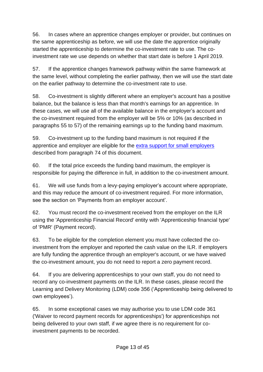56. In cases where an apprentice changes employer or provider, but continues on the same apprenticeship as before, we will use the date the apprentice originally started the apprenticeship to determine the co-investment rate to use. The coinvestment rate we use depends on whether that start date is before 1 April 2019.

<span id="page-12-0"></span>57. If the apprentice changes framework pathway within the same framework at the same level, without completing the earlier pathway, then we will use the start date on the earlier pathway to determine the co-investment rate to use.

58. Co-investment is slightly different where an employer's account has a positive balance, but the balance is less than that month's earnings for an apprentice. In these cases, we will use all of the available balance in the employer's account and the co-investment required from the employer will be 5% or 10% (as described in paragraphs [55](#page-11-3) to [57\)](#page-12-0) of the remaining earnings up to the funding band maximum.

59. Co-investment up to the funding band maximum is not required if the apprentice and employer are eligible for the [extra support for small employers](#page-14-0) described from paragraph [74](#page-14-1) of this document.

60. If the total price exceeds the funding band maximum, the employer is responsible for paying the difference in full, in addition to the co-investment amount.

61. We will use funds from a levy-paying employer's account where appropriate, and this may reduce the amount of co-investment required. For more information, see the section on 'Payments from an employer account'.

62. You must record the co-investment received from the employer on the ILR using the 'Apprenticeship Financial Record' entity with 'Apprenticeship financial type' of 'PMR' (Payment record).

63. To be eligible for the completion element you must have collected the coinvestment from the employer and reported the cash value on the ILR. If employers are fully funding the apprentice through an employer's account, or we have waived the co-investment amount, you do not need to report a zero payment record.

64. If you are delivering apprenticeships to your own staff, you do not need to record any co-investment payments on the ILR. In these cases, please record the Learning and Delivery Monitoring (LDM) code 356 ('Apprenticeship being delivered to own employees').

65. In some exceptional cases we may authorise you to use LDM code 361 ('Waiver to record payment records for apprenticeships') for apprenticeships not being delivered to your own staff, if we agree there is no requirement for coinvestment payments to be recorded.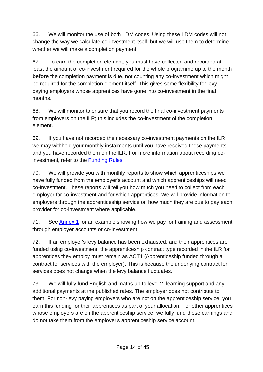66. We will monitor the use of both LDM codes. Using these LDM codes will not change the way we calculate co-investment itself, but we will use them to determine whether we will make a completion payment.

67. To earn the completion element, you must have collected and recorded at least the amount of co-investment required for the whole programme up to the month **before** the completion payment is due, not counting any co-investment which might be required for the completion element itself. This gives some flexibility for levy paying employers whose apprentices have gone into co-investment in the final months.

68. We will monitor to ensure that you record the final co-investment payments from employers on the ILR; this includes the co-investment of the completion element.

69. If you have not recorded the necessary co-investment payments on the ILR we may withhold your monthly instalments until you have received these payments and you have recorded them on the ILR. For more information about recording coinvestment, refer to the [Funding Rules.](https://www.gov.uk/guidance/apprenticeship-funding-rules)

70. We will provide you with monthly reports to show which apprenticeships we have fully funded from the employer's account and which apprenticeships will need co-investment. These reports will tell you how much you need to collect from each employer for co-investment and for which apprentices. We will provide information to employers through the apprenticeship service on how much they are due to pay each provider for co-investment where applicable.

71. See [Annex 1](#page-42-0) for an example showing how we pay for training and assessment through employer accounts or co-investment.

72. If an employer's levy balance has been exhausted, and their apprentices are funded using co-investment, the apprenticeship contract type recorded in the ILR for apprentices they employ must remain as ACT1 (Apprenticeship funded through a contract for services with the employer). This is because the underlying contract for services does not change when the levy balance fluctuates.

73. We will fully fund English and maths up to level 2, learning support and any additional payments at the published rates. The employer does not contribute to them. For non-levy paying employers who are not on the apprenticeship service, you earn this funding for their apprentices as part of your allocation. For other apprentices whose employers are on the apprenticeship service, we fully fund these earnings and do not take them from the employer's apprenticeship service account.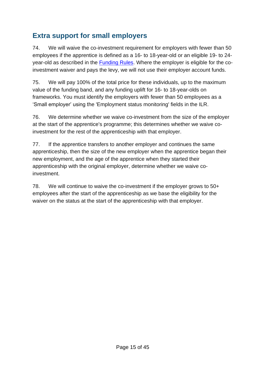## <span id="page-14-0"></span>**Extra support for small employers**

<span id="page-14-1"></span>74. We will waive the co-investment requirement for employers with fewer than 50 employees if the apprentice is defined as a 16- to 18-year-old or an eligible 19- to 24 year-old as described in the [Funding Rules.](https://www.gov.uk/guidance/apprenticeship-funding-rules) Where the employer is eligible for the coinvestment waiver and pays the levy, we will not use their employer account funds.

75. We will pay 100% of the total price for these individuals, up to the maximum value of the funding band, and any funding uplift for 16- to 18-year-olds on frameworks. You must identify the employers with fewer than 50 employees as a 'Small employer' using the 'Employment status monitoring' fields in the ILR.

76. We determine whether we waive co-investment from the size of the employer at the start of the apprentice's programme; this determines whether we waive coinvestment for the rest of the apprenticeship with that employer.

77. If the apprentice transfers to another employer and continues the same apprenticeship, then the size of the new employer when the apprentice began their new employment, and the age of the apprentice when they started their apprenticeship with the original employer, determine whether we waive coinvestment.

78. We will continue to waive the co-investment if the employer grows to 50+ employees after the start of the apprenticeship as we base the eligibility for the waiver on the status at the start of the apprenticeship with that employer.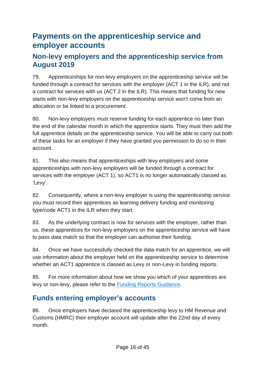## <span id="page-15-0"></span>**Payments on the apprenticeship service and employer accounts**

#### <span id="page-15-1"></span>**Non-levy employers and the apprenticeship service from August 2019**

79. Apprenticeships for non-levy employers on the apprenticeship service will be funded through a contract for services with the employer (ACT 1 in the ILR), and not a contract for services with us (ACT 2 in the ILR). This means that funding for new starts with non-levy employers on the apprenticeship service won't come from an allocation or be linked to a procurement.

80. Non-levy employers must reserve funding for each apprentice no later than the end of the calendar month in which the apprentice starts. They must then add the full apprentice details on the apprenticeship service. You will be able to carry out both of these tasks for an employer if they have granted you permission to do so in their account.

81. This also means that apprenticeships with levy employers and some apprenticeships with non-levy employers will be funded through a contract for services with the employer (ACT 1), so ACT1 is no longer automatically classed as 'Levy'.

82. Consequently, where a non-levy employer is using the apprenticeship service you must record their apprentices as learning delivery funding and monitoring type/code ACT1 in the ILR when they start.

83. As the underlying contract is now for services with the employer, rather than us, these apprentices for non-levy employers on the apprenticeship service will have to pass data match so that the employer can authorise their funding.

84. Once we have successfully checked the data match for an apprentice, we will use information about the employer held on the apprenticeship service to determine whether an ACT1 apprentice is classed as Levy or non-Levy in funding reports.

85. For more information about how we show you which of your apprentices are levy or non-levy, please refer to the [Funding Reports Guidance.](https://www.gov.uk/government/publications/check-ilr-reports-for-possible-data-errors-in-your-return)

## <span id="page-15-2"></span>**Funds entering employer's accounts**

86. Once employers have declared the apprenticeship levy to HM Revenue and Customs (HMRC) their employer account will update after the 22nd day of every month.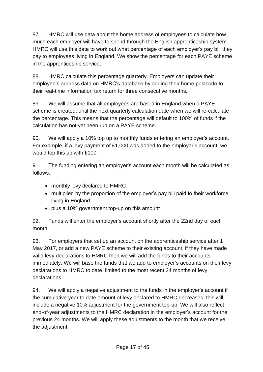87. HMRC will use data about the home address of employees to calculate how much each employer will have to spend through the English apprenticeship system. HMRC will use this data to work out what percentage of each employer's pay bill they pay to employees living in England. We show the percentage for each PAYE scheme in the apprenticeship service.

88. HMRC calculate this percentage quarterly. Employers can update their employee's address data on HMRC's database by adding their home postcode to their real-time information tax return for three consecutive months.

89. We will assume that all employees are based in England when a PAYE scheme is created, until the next quarterly calculation date when we will re-calculate the percentage. This means that the percentage will default to 100% of funds if the calculation has not yet been run on a PAYE scheme.

90. We will apply a 10% top up to monthly funds entering an employer's account. For example, if a levy payment of £1,000 was added to the employer's account, we would top this up with £100.

91. The funding entering an employer's account each month will be calculated as follows:

- monthly levy declared to HMRC
- multiplied by the proportion of the employer's pay bill paid to their workforce living in England
- plus a 10% government top-up on this amount

92. Funds will enter the employer's account shortly after the 22nd day of each month.

93. For employers that set up an account on the apprenticeship service after 1 May 2017, or add a new PAYE scheme to their existing account, if they have made valid levy declarations to HMRC then we will add the funds to their accounts immediately. We will base the funds that we add to employer's accounts on their levy declarations to HMRC to date, limited to the most recent 24 months of levy declarations.

94. We will apply a negative adjustment to the funds in the employer's account if the cumulative year to date amount of levy declared to HMRC decreases; this will include a negative 10% adjustment for the government top-up. We will also reflect end-of-year adjustments to the HMRC declaration in the employer's account for the previous 24 months. We will apply these adjustments to the month that we receive the adjustment.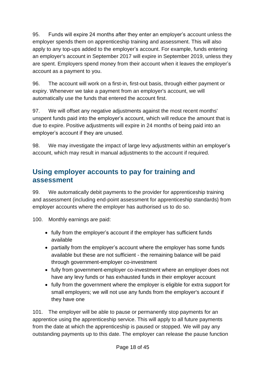95. Funds will expire 24 months after they enter an employer's account unless the employer spends them on apprenticeship training and assessment. This will also apply to any top-ups added to the employer's account. For example, funds entering an employer's account in September 2017 will expire in September 2019, unless they are spent. Employers spend money from their account when it leaves the employer's account as a payment to you.

96. The account will work on a first-in, first-out basis, through either payment or expiry. Whenever we take a payment from an employer's account, we will automatically use the funds that entered the account first.

97. We will offset any negative adjustments against the most recent months' unspent funds paid into the employer's account, which will reduce the amount that is due to expire. Positive adjustments will expire in 24 months of being paid into an employer's account if they are unused.

98. We may investigate the impact of large levy adjustments within an employer's account, which may result in manual adjustments to the account if required.

### <span id="page-17-0"></span>**Using employer accounts to pay for training and assessment**

99. We automatically debit payments to the provider for apprenticeship training and assessment (including end-point assessment for apprenticeship standards) from employer accounts where the employer has authorised us to do so.

100. Monthly earnings are paid:

- fully from the employer's account if the employer has sufficient funds available
- partially from the employer's account where the employer has some funds available but these are not sufficient - the remaining balance will be paid through government-employer co-investment
- fully from government-employer co-investment where an employer does not have any levy funds or has exhausted funds in their employer account
- fully from the government where the employer is eligible for extra support for small employers; we will not use any funds from the employer's account if they have one

101. The employer will be able to pause or permanently stop payments for an apprentice using the apprenticeship service. This will apply to all future payments from the date at which the apprenticeship is paused or stopped. We will pay any outstanding payments up to this date. The employer can release the pause function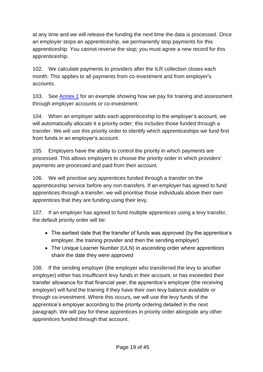at any time and we will release the funding the next time the data is processed. Once an employer stops an apprenticeship, we permanently stop payments for this apprenticeship. You cannot reverse the stop; you must agree a new record for this apprenticeship.

102. We calculate payments to providers after the ILR collection closes each month. This applies to all payments from co-investment and from employer's accounts.

103. See [Annex 1](#page-42-0) for an example showing how we pay for training and assessment through employer accounts or co-investment.

104. When an employer adds each apprenticeship to the employer's account, we will automatically allocate it a priority order; this includes those funded through a transfer. We will use this priority order to identify which apprenticeships we fund first from funds in an employer's account.

<span id="page-18-0"></span>105. Employers have the ability to control the priority in which payments are processed. This allows employers to choose the priority order in which providers' payments are processed and paid from their account.

106. We will prioritise any apprentices funded through a transfer on the apprenticeship service before any non-transfers. If an employer has agreed to fund apprentices through a transfer, we will prioritise those individuals above their own apprentices that they are funding using their levy.

107. If an employer has agreed to fund multiple apprentices using a levy transfer, the default priority order will be:

- The earliest date that the transfer of funds was approved (by the apprentice's employer, the training provider and then the sending employer)
- The Unique Learner Number (ULN) in ascending order where apprentices share the date they were approved

108. If the sending employer (the employer who transferred the levy to another employer) either has insufficient levy funds in their account, or has exceeded their transfer allowance for that financial year, the apprentice's employer (the receiving employer) will fund the training if they have their own levy balance available or through co-investment. Where this occurs, we will use the levy funds of the apprentice's employer according to the priority ordering detailed in the next paragraph. We will pay for these apprentices in priority order alongside any other apprentices funded through that account.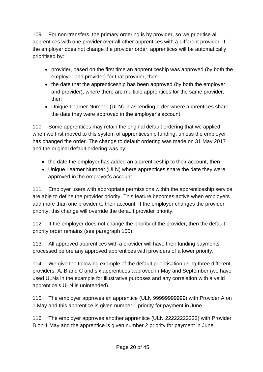109. For non-transfers, the primary ordering is by provider, so we prioritise all apprentices with one provider over all other apprentices with a different provider. If the employer does not change the provider order, apprentices will be automatically prioritised by:

- provider, based on the first time an apprenticeship was approved (by both the employer and provider) for that provider, then
- the date that the apprenticeship has been approved (by both the employer and provider), where there are multiple apprentices for the same provider, then
- Unique Learner Number (ULN) in ascending order where apprentices share the date they were approved in the employer's account

110. Some apprentices may retain the original default ordering that we applied when we first moved to this system of apprenticeship funding, unless the employer has changed the order. The change to default ordering was made on 31 May 2017 and the original default ordering was by:

- the date the employer has added an apprenticeship to their account, then
- Unique Learner Number (ULN) where apprentices share the date they were approved in the employer's account

111. Employer users with appropriate permissions within the apprenticeship service are able to define the provider priority. This feature becomes active when employers add more than one provider to their account. If the employer changes the provider priority, this change will override the default provider priority.

112. If the employer does not change the priority of the provider, then the default priority order remains (see paragraph [105\)](#page-18-0).

113. All approved apprentices with a provider will have their funding payments processed before any approved apprentices with providers of a lower priority.

114. We give the following example of the default prioritisation using three different providers: A, B and C and six apprentices approved in May and September (we have used ULNs in the example for illustrative purposes and any correlation with a valid apprentice's ULN is unintended).

115. The employer approves an apprentice (ULN 99999999999) with Provider A on 1 May and this apprentice is given number 1 priority for payment in June.

116. The employer approves another apprentice (ULN 22222222222) with Provider B on 1 May and the apprentice is given number 2 priority for payment in June.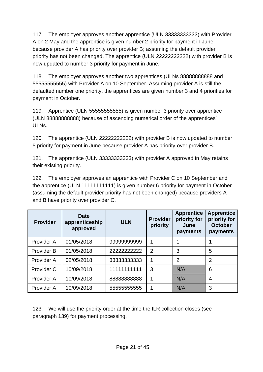117. The employer approves another apprentice (ULN 33333333333) with Provider A on 2 May and the apprentice is given number 2 priority for payment in June because provider A has priority over provider B; assuming the default provider priority has not been changed. The apprentice (ULN 22222222222) with provider B is now updated to number 3 priority for payment in June.

118. The employer approves another two apprentices (ULNs 88888888888 and 55555555555) with Provider A on 10 September. Assuming provider A is still the defaulted number one priority, the apprentices are given number 3 and 4 priorities for payment in October.

119. Apprentice (ULN 55555555555) is given number 3 priority over apprentice (ULN 88888888888) because of ascending numerical order of the apprentices' ULNs.

120. The apprentice (ULN 22222222222) with provider B is now updated to number 5 priority for payment in June because provider A has priority over provider B.

121. The apprentice (ULN 33333333333) with provider A approved in May retains their existing priority.

122. The employer approves an apprentice with Provider C on 10 September and the apprentice (ULN 11111111111) is given number 6 priority for payment in October (assuming the default provider priority has not been changed) because providers A and B have priority over provider C.

| <b>Provider</b>   | <b>Date</b><br>apprenticeship<br>approved | <b>ULN</b>   | <b>Provider</b><br>priority | <b>Apprentice</b><br>priority for<br>June<br>payments | <b>Apprentice</b><br>priority for<br><b>October</b><br>payments |
|-------------------|-------------------------------------------|--------------|-----------------------------|-------------------------------------------------------|-----------------------------------------------------------------|
| Provider A        | 01/05/2018                                | 99999999999  | 1                           |                                                       |                                                                 |
| <b>Provider B</b> | 01/05/2018                                | 22222222222  | $\overline{2}$              | 3                                                     | 5                                                               |
| Provider A        | 02/05/2018                                | 333333333333 | 1                           | $\overline{2}$                                        | $\overline{2}$                                                  |
| Provider C        | 10/09/2018                                | 11111111111  | 3                           | N/A                                                   | 6                                                               |
| Provider A        | 10/09/2018                                | 8888888888   | 1                           | N/A                                                   | 4                                                               |
| Provider A        | 10/09/2018                                | 55555555555  | 1                           | N/A                                                   | 3                                                               |

123. We will use the priority order at the time the ILR collection closes (see paragraph [139\)](#page-23-0) for payment processing.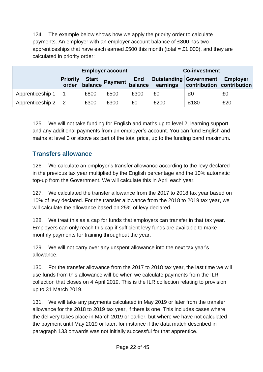124. The example below shows how we apply the priority order to calculate payments. An employer with an employer account balance of £800 has two apprenticeships that have each earned £500 this month (total = £1,000), and they are calculated in priority order:

|                  | <b>Employer account</b>  |                         |                        |            | <b>Co-investment</b> |                          |                                                |  |
|------------------|--------------------------|-------------------------|------------------------|------------|----------------------|--------------------------|------------------------------------------------|--|
|                  | <b>Priority</b><br>order | <b>Start</b><br>balance | <b>Payment</b> balance | <b>End</b> | earnings             | Outstanding   Government | <b>Employer</b><br>contribution   contribution |  |
| Apprenticeship 1 |                          | £800                    | £500                   | £300       | £0                   | £0                       | £0                                             |  |
| Apprenticeship 2 |                          | £300                    | £300                   | £0         | £200                 | £180                     | £20                                            |  |

125. We will not take funding for English and maths up to level 2, learning support and any additional payments from an employer's account. You can fund English and maths at level 3 or above as part of the total price, up to the funding band maximum.

#### <span id="page-21-0"></span>**Transfers allowance**

126. We calculate an employer's transfer allowance according to the levy declared in the previous tax year multiplied by the English percentage and the 10% automatic top-up from the Government. We will calculate this in April each year.

127. We calculated the transfer allowance from the 2017 to 2018 tax year based on 10% of levy declared. For the transfer allowance from the 2018 to 2019 tax year, we will calculate the allowance based on 25% of levy declared.

128. We treat this as a cap for funds that employers can transfer in that tax year. Employers can only reach this cap if sufficient levy funds are available to make monthly payments for training throughout the year.

129. We will not carry over any unspent allowance into the next tax year's allowance.

130. For the transfer allowance from the 2017 to 2018 tax year, the last time we will use funds from this allowance will be when we calculate payments from the ILR collection that closes on 4 April 2019. This is the ILR collection relating to provision up to 31 March 2019.

131. We will take any payments calculated in May 2019 or later from the transfer allowance for the 2018 to 2019 tax year, if there is one. This includes cases where the delivery takes place in March 2019 or earlier, but where we have not calculated the payment until May 2019 or later, for instance if the data match described in paragraph [133](#page-22-1) onwards was not initially successful for that apprentice.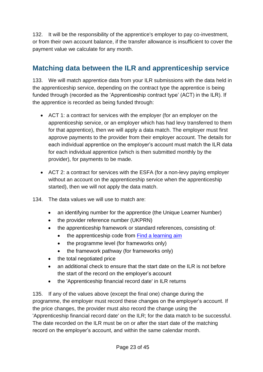132. It will be the responsibility of the apprentice's employer to pay co-investment, or from their own account balance, if the transfer allowance is insufficient to cover the payment value we calculate for any month.

## <span id="page-22-0"></span>**Matching data between the ILR and apprenticeship service**

<span id="page-22-1"></span>133. We will match apprentice data from your ILR submissions with the data held in the apprenticeship service, depending on the contract type the apprentice is being funded through (recorded as the 'Apprenticeship contract type' (ACT) in the ILR). If the apprentice is recorded as being funded through:

- ACT 1: a contract for services with the employer (for an employer on the apprenticeship service, or an employer which has had levy transferred to them for that apprentice), then we will apply a data match. The employer must first approve payments to the provider from their employer account. The details for each individual apprentice on the employer's account must match the ILR data for each individual apprentice (which is then submitted monthly by the provider), for payments to be made.
- ACT 2: a contract for services with the ESFA (for a non-levy paying employer without an account on the apprenticeship service when the apprenticeship started), then we will not apply the data match.
- 134. The data values we will use to match are:
	- an identifying number for the apprentice (the Unique Learner Number)
	- the provider reference number (UKPRN)
	- the apprenticeship framework or standard references, consisting of:
		- the apprenticeship code from Find a [learning aim](https://findalearningaimbeta.fasst.org.uk/)
		- the programme level (for frameworks only)
		- the framework pathway (for frameworks only)
	- the total negotiated price
	- an additional check to ensure that the start date on the ILR is not before the start of the record on the employer's account
	- the 'Apprenticeship financial record date' in ILR returns

135. If any of the values above (except the final one) change during the programme, the employer must record these changes on the employer's account. If the price changes, the provider must also record the change using the 'Apprenticeship financial record date' on the ILR; for the data match to be successful. The date recorded on the ILR must be on or after the start date of the matching record on the employer's account, and within the same calendar month.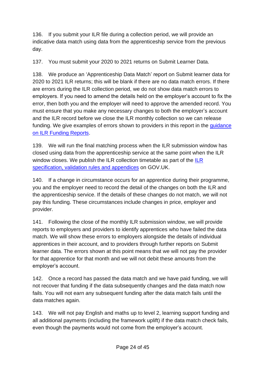136. If you submit your ILR file during a collection period, we will provide an indicative data match using data from the apprenticeship service from the previous day.

137. You must submit your 2020 to 2021 returns on Submit Learner Data.

138. We produce an 'Apprenticeship Data Match' report on Submit learner data for 2020 to 2021 ILR returns; this will be blank if there are no data match errors. If there are errors during the ILR collection period, we do not show data match errors to employers. If you need to amend the details held on the employer's account to fix the error, then both you and the employer will need to approve the amended record. You must ensure that you make any necessary changes to both the employer's account and the ILR record before we close the ILR monthly collection so we can release funding. We give examples of errors shown to providers in this report in the guidance [on ILR Funding Reports.](https://www.gov.uk/government/publications/individualised-learner-record-ilr-check-that-data-is-accurate)

<span id="page-23-0"></span>139. We will run the final matching process when the ILR submission window has closed using data from the apprenticeship service at the same point when the ILR window closes. We publish the ILR collection timetable as part of the [ILR](https://www.gov.uk/government/collections/individualised-learner-record-ilr)  [specification, validation rules and appendices](https://www.gov.uk/government/collections/individualised-learner-record-ilr) on GOV.UK.

140. If a change in circumstance occurs for an apprentice during their programme, you and the employer need to record the detail of the changes on both the ILR and the apprenticeship service. If the details of these changes do not match, we will not pay this funding. These circumstances include changes in price, employer and provider.

141. Following the close of the monthly ILR submission window, we will provide reports to employers and providers to identify apprentices who have failed the data match. We will show these errors to employers alongside the details of individual apprentices in their account, and to providers through further reports on Submit learner data. The errors shown at this point means that we will not pay the provider for that apprentice for that month and we will not debit these amounts from the employer's account.

142. Once a record has passed the data match and we have paid funding, we will not recover that funding if the data subsequently changes and the data match now fails. You will not earn any subsequent funding after the data match fails until the data matches again.

143. We will not pay English and maths up to level 2, learning support funding and all additional payments (including the framework uplift) if the data match check fails, even though the payments would not come from the employer's account.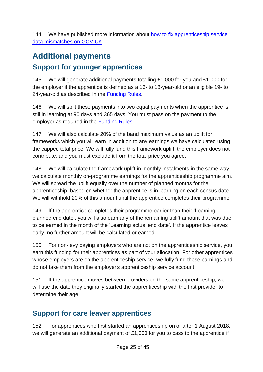144. We have published more information about [how to fix apprenticeship service](https://www.gov.uk/government/publications/how-to-fix-apprenticeship-service-data-mismatches/how-to-fix-apprenticeship-service-data-mismatches)  [data mismatches](https://www.gov.uk/government/publications/how-to-fix-apprenticeship-service-data-mismatches/how-to-fix-apprenticeship-service-data-mismatches) on GOV.UK.

# <span id="page-24-1"></span><span id="page-24-0"></span>**Additional payments Support for younger apprentices**

145. We will generate additional payments totalling £1,000 for you and £1,000 for the employer if the apprentice is defined as a 16- to 18-year-old or an eligible 19- to 24-year-old as described in the [Funding Rules.](https://www.gov.uk/guidance/apprenticeship-funding-rules)

146. We will split these payments into two equal payments when the apprentice is still in learning at 90 days and 365 days. You must pass on the payment to the employer as required in the [Funding Rules.](https://www.gov.uk/guidance/apprenticeship-funding-rules)

147. We will also calculate 20% of the band maximum value as an uplift for frameworks which you will earn in addition to any earnings we have calculated using the capped total price. We will fully fund this framework uplift; the employer does not contribute, and you must exclude it from the total price you agree.

148. We will calculate the framework uplift in monthly instalments in the same way we calculate monthly on-programme earnings for the apprenticeship programme aim. We will spread the uplift equally over the number of planned months for the apprenticeship, based on whether the apprentice is in learning on each census date. We will withhold 20% of this amount until the apprentice completes their programme.

149. If the apprentice completes their programme earlier than their 'Learning planned end date', you will also earn any of the remaining uplift amount that was due to be earned in the month of the 'Learning actual end date'. If the apprentice leaves early, no further amount will be calculated or earned.

150. For non-levy paying employers who are not on the apprenticeship service, you earn this funding for their apprentices as part of your allocation. For other apprentices whose employers are on the apprenticeship service, we fully fund these earnings and do not take them from the employer's apprenticeship service account.

151. If the apprentice moves between providers on the same apprenticeship, we will use the date they originally started the apprenticeship with the first provider to determine their age.

## <span id="page-24-2"></span>**Support for care leaver apprentices**

152. For apprentices who first started an apprenticeship on or after 1 August 2018, we will generate an additional payment of £1,000 for you to pass to the apprentice if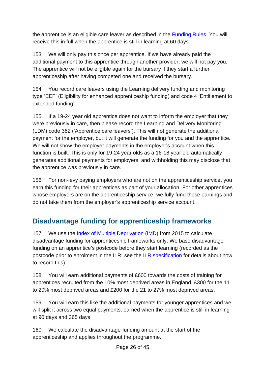the apprentice is an eligible care leaver as described in the [Funding Rules.](https://www.gov.uk/guidance/apprenticeship-funding-rules) You will receive this in full when the apprentice is still in learning at 60 days.

153. We will only pay this once per apprentice. If we have already paid the additional payment to this apprentice through another provider, we will not pay you. The apprentice will not be eligible again for the bursary if they start a further apprenticeship after having competed one and received the bursary.

154. You record care leavers using the Learning delivery funding and monitoring type 'EEF' (Eligibility for enhanced apprenticeship funding) and code 4 'Entitlement to extended funding'.

155. If a 19-24 year old apprentice does not want to inform the employer that they were previously in care, then please record the Learning and Delivery Monitoring (LDM) code 362 ('Apprentice care leavers'). This will not generate the additional payment for the employer, but it will generate the funding for you and the apprentice. We will not show the employer payments in the employer's account when this function is built. This is only for 19-24 year olds as a 16-18 year old automatically generates additional payments for employers, and withholding this may disclose that the apprentice was previously in care.

156. For non-levy paying employers who are not on the apprenticeship service, you earn this funding for their apprentices as part of your allocation. For other apprentices whose employers are on the apprenticeship service, we fully fund these earnings and do not take them from the employer's apprenticeship service account.

## <span id="page-25-0"></span>**Disadvantage funding for apprenticeship frameworks**

157. We use the [Index of Multiple Deprivation \(IMD\)](https://www.gov.uk/government/statistics/english-indices-of-deprivation-2015) from 2015 to calculate disadvantage funding for apprenticeship frameworks only. We base disadvantage funding on an apprentice's postcode before they start learning (recorded as the postcode prior to enrolment in the ILR; see the [ILR specification](https://www.gov.uk/government/collections/individualised-learner-record-ilr) for details about how to record this).

158. You will earn additional payments of £600 towards the costs of training for apprentices recruited from the 10% most deprived areas in England, £300 for the 11 to 20% most deprived areas and £200 for the 21 to 27% most deprived areas.

159. You will earn this like the additional payments for younger apprentices and we will split it across two equal payments, earned when the apprentice is still in learning at 90 days and 365 days.

160. We calculate the disadvantage-funding amount at the start of the apprenticeship and applies throughout the programme.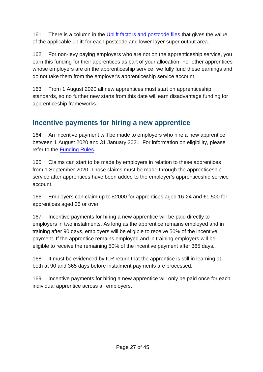161. There is a column in the [Uplift factors and postcode files](https://www.gov.uk/government/publications/uplift-factors-and-postcode-files) that gives the value of the applicable uplift for each postcode and lower layer super output area.

162. For non-levy paying employers who are not on the apprenticeship service, you earn this funding for their apprentices as part of your allocation. For other apprentices whose employers are on the apprenticeship service, we fully fund these earnings and do not take them from the employer's apprenticeship service account.

163. From 1 August 2020 all new apprentices must start on apprenticeship standards, so no further new starts from this date will earn disadvantage funding for apprenticeship frameworks.

## <span id="page-26-0"></span>**Incentive payments for hiring a new apprentice**

164. An incentive payment will be made to employers who hire a new apprentice between 1 August 2020 and 31 January 2021. For information on eligibility, please refer to the [Funding Rules.](https://www.gov.uk/guidance/apprenticeship-funding-rules)

165. Claims can start to be made by employers in relation to these apprentices from 1 September 2020. Those claims must be made through the apprenticeship service after apprentices have been added to the employer's apprenticeship service account.

166. Employers can claim up to £2000 for apprentices aged 16-24 and £1,500 for apprentices aged 25 or over

167. Incentive payments for hiring a new apprentice will be paid directly to employers in two instalments. As long as the apprentice remains employed and in training after 90 days, employers will be eligible to receive 50% of the incentive payment. If the apprentice remains employed and in training employers will be eligible to receive the remaining 50% of the incentive payment after 365 days...

168. It must be evidenced by ILR return that the apprentice is still in learning at both at 90 and 365 days before instalment payments are processed.

169. Incentive payments for hiring a new apprentice will only be paid once for each individual apprentice across all employers.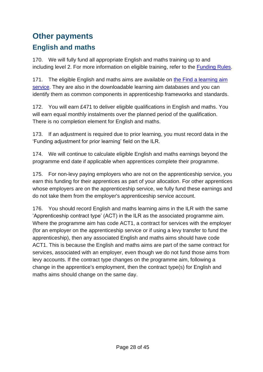# <span id="page-27-1"></span><span id="page-27-0"></span>**Other payments English and maths**

170. We will fully fund all appropriate English and maths training up to and including level 2. For more information on eligible training, refer to the [Funding Rules.](https://www.gov.uk/guidance/apprenticeship-funding-rules)

171. The eligible English and maths aims are available on the Find a learning aim [service.](https://findalearningaimbeta.fasst.org.uk/) They are also in the downloadable learning aim databases and you can identify them as common components in apprenticeship frameworks and standards.

172. You will earn £471 to deliver eligible qualifications in English and maths. You will earn equal monthly instalments over the planned period of the qualification. There is no completion element for English and maths.

173. If an adjustment is required due to prior learning, you must record data in the 'Funding adjustment for prior learning' field on the ILR.

174. We will continue to calculate eligible English and maths earnings beyond the programme end date if applicable when apprentices complete their programme.

175. For non-levy paying employers who are not on the apprenticeship service, you earn this funding for their apprentices as part of your allocation. For other apprentices whose employers are on the apprenticeship service, we fully fund these earnings and do not take them from the employer's apprenticeship service account.

176. You should record English and maths learning aims in the ILR with the same 'Apprenticeship contract type' (ACT) in the ILR as the associated programme aim. Where the programme aim has code ACT1, a contract for services with the employer (for an employer on the apprenticeship service or if using a levy transfer to fund the apprenticeship), then any associated English and maths aims should have code ACT1. This is because the English and maths aims are part of the same contract for services, associated with an employer, even though we do not fund those aims from levy accounts. If the contract type changes on the programme aim, following a change in the apprentice's employment, then the contract type(s) for English and maths aims should change on the same day.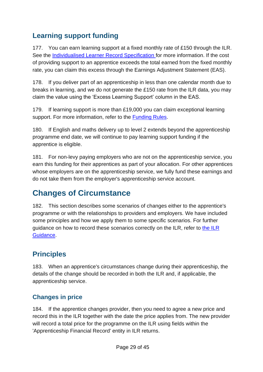## <span id="page-28-0"></span>**Learning support funding**

177. You can earn learning support at a fixed monthly rate of £150 through the ILR. See the [Individualised Learner Record Specification](https://guidance.submitlearnerdatabeta.fasst.org.uk/ilr) for more information. If the cost of providing support to an apprentice exceeds the total earned from the fixed monthly rate, you can claim this excess through the Earnings Adjustment Statement (EAS).

178. If you deliver part of an apprenticeship in less than one calendar month due to breaks in learning, and we do not generate the £150 rate from the ILR data, you may claim the value using the 'Excess Learning Support' column in the EAS.

179. If learning support is more than £19,000 you can claim exceptional learning support. For more information, refer to the **Funding Rules**.

180. If English and maths delivery up to level 2 extends beyond the apprenticeship programme end date, we will continue to pay learning support funding if the apprentice is eligible.

181. For non-levy paying employers who are not on the apprenticeship service, you earn this funding for their apprentices as part of your allocation. For other apprentices whose employers are on the apprenticeship service, we fully fund these earnings and do not take them from the employer's apprenticeship service account.

## <span id="page-28-1"></span>**Changes of Circumstance**

182. This section describes some scenarios of changes either to the apprentice's programme or with the relationships to providers and employers. We have included some principles and how we apply them to some specific scenarios. For further guidance on how to record these scenarios correctly on the ILR, refer to [the ILR](https://guidance.submitlearnerdatabeta.fasst.org.uk/ilr)  [Guidance.](https://guidance.submitlearnerdatabeta.fasst.org.uk/ilr)

## <span id="page-28-2"></span>**Principles**

183. When an apprentice's circumstances change during their apprenticeship, the details of the change should be recorded in both the ILR and, if applicable, the apprenticeship service.

#### <span id="page-28-3"></span>**Changes in price**

184. If the apprentice changes provider, then you need to agree a new price and record this in the ILR together with the date the price applies from. The new provider will record a total price for the programme on the ILR using fields within the 'Apprenticeship Financial Record' entity in ILR returns.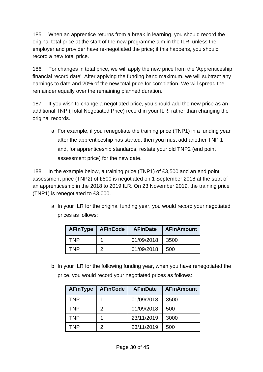185. When an apprentice returns from a break in learning, you should record the original total price at the start of the new programme aim in the ILR, unless the employer and provider have re-negotiated the price; if this happens, you should record a new total price.

186. For changes in total price, we will apply the new price from the 'Apprenticeship financial record date'. After applying the funding band maximum, we will subtract any earnings to date and 20% of the new total price for completion. We will spread the remainder equally over the remaining planned duration.

187. If you wish to change a negotiated price, you should add the new price as an additional TNP (Total Negotiated Price) record in your ILR, rather than changing the original records.

a. For example, if you renegotiate the training price (TNP1) in a funding year after the apprenticeship has started, then you must add another TNP 1 and, for apprenticeship standards, restate your old TNP2 (end point assessment price) for the new date.

188. In the example below, a training price (TNP1) of £3,500 and an end point assessment price (TNP2) of £500 is negotiated on 1 September 2018 at the start of an apprenticeship in the 2018 to 2019 ILR. On 23 November 2019, the training price (TNP1) is renegotiated to £3,000.

a. In your ILR for the original funding year, you would record your negotiated prices as follows:

|     | <b>AFinType   AFinCode</b> | <b>AFinDate</b> | <b>AFinAmount</b> |
|-----|----------------------------|-----------------|-------------------|
| TNP |                            | 01/09/2018      | 3500              |
| TNP | າ                          | 01/09/2018      | 500               |

b. In your ILR for the following funding year, when you have renegotiated the price, you would record your negotiated prices as follows:

| <b>AFinType</b> | <b>AFinCode</b> | <b>AFinDate</b> | <b>AFinAmount</b> |
|-----------------|-----------------|-----------------|-------------------|
| <b>TNP</b>      |                 | 01/09/2018      | 3500              |
| <b>TNP</b>      | $\mathcal{P}$   | 01/09/2018      | 500               |
| <b>TNP</b>      |                 | 23/11/2019      | 3000              |
| TNP             | $\mathcal{P}$   | 23/11/2019      | 500               |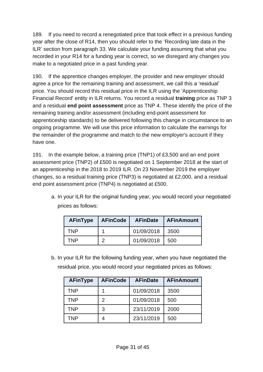189. If you need to record a renegotiated price that took effect in a previous funding year after the close of R14, then you should refer to the ['Recording late data in the](#page-8-0)  [ILR'](#page-8-0) section from paragraph [33.](#page-8-1) We calculate your funding assuming that what you recorded in your R14 for a funding year is correct, so we disregard any changes you make to a negotiated price in a past funding year.

190. If the apprentice changes employer, the provider and new employer should agree a price for the remaining training and assessment, we call this a 'residual' price. You should record this residual price in the ILR using the 'Apprenticeship Financial Record' entity in ILR returns. You record a residual **training** price as TNP 3 and a residual **end point assessment** price as TNP 4. These identify the price of the remaining training and/or assessment (including end-point assessment for apprenticeship standards) to be delivered following this change in circumstance to an ongoing programme. We will use this price information to calculate the earnings for the remainder of the programme and match to the new employer's account if they have one.

191. In the example below, a training price (TNP1) of £3,500 and an end point assessment price (TNP2) of £500 is negotiated on 1 September 2018 at the start of an apprenticeship in the 2018 to 2019 ILR. On 23 November 2019 the employer changes, so a residual training price (TNP3) is negotiated at £2,000, and a residual end point assessment price (TNP4) is negotiated at £500.

a. In your ILR for the original funding year, you would record your negotiated prices as follows:

| <b>AFinType</b> | <b>AFinCode</b> | <b>AFinDate</b> | <b>AFinAmount</b> |
|-----------------|-----------------|-----------------|-------------------|
| TNP.            |                 | 01/09/2018      | 3500              |
| TNP             |                 | 01/09/2018      | 500               |

b. In your ILR for the following funding year, when you have negotiated the residual price, you would record your negotiated prices as follows:

| <b>AFinType</b> | <b>AFinCode</b> | <b>AFinDate</b> | <b>AFinAmount</b> |
|-----------------|-----------------|-----------------|-------------------|
| TNP             |                 | 01/09/2018      | 3500              |
| TNP             | $\mathcal{P}$   | 01/09/2018      | 500               |
| TNP             | 3               | 23/11/2019      | 2000              |
| TNP             |                 | 23/11/2019      | 500               |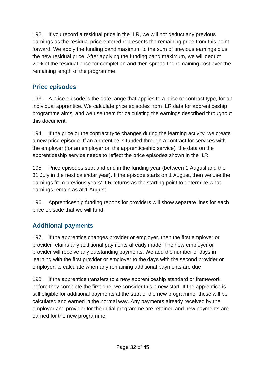192. If you record a residual price in the ILR, we will not deduct any previous earnings as the residual price entered represents the remaining price from this point forward. We apply the funding band maximum to the sum of previous earnings plus the new residual price. After applying the funding band maximum, we will deduct 20% of the residual price for completion and then spread the remaining cost over the remaining length of the programme.

#### <span id="page-31-0"></span>**Price episodes**

193. A price episode is the date range that applies to a price or contract type, for an individual apprentice. We calculate price episodes from ILR data for apprenticeship programme aims, and we use them for calculating the earnings described throughout this document.

194. If the price or the contract type changes during the learning activity, we create a new price episode. If an apprentice is funded through a contract for services with the employer (for an employer on the apprenticeship service), the data on the apprenticeship service needs to reflect the price episodes shown in the ILR.

195. Price episodes start and end in the funding year (between 1 August and the 31 July in the next calendar year). If the episode starts on 1 August, then we use the earnings from previous years' ILR returns as the starting point to determine what earnings remain as at 1 August.

196. Apprenticeship funding reports for providers will show separate lines for each price episode that we will fund.

#### <span id="page-31-1"></span>**Additional payments**

197. If the apprentice changes provider or employer, then the first employer or provider retains any additional payments already made. The new employer or provider will receive any outstanding payments. We add the number of days in learning with the first provider or employer to the days with the second provider or employer, to calculate when any remaining additional payments are due.

198. If the apprentice transfers to a new apprenticeship standard or framework before they complete the first one, we consider this a new start. If the apprentice is still eligible for additional payments at the start of the new programme, these will be calculated and earned in the normal way. Any payments already received by the employer and provider for the initial programme are retained and new payments are earned for the new programme.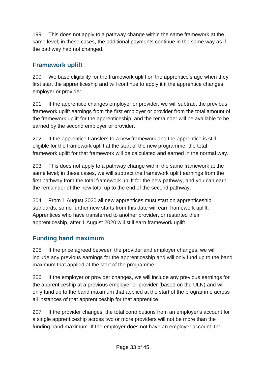199. This does not apply to a pathway change within the same framework at the same level; in these cases, the additional payments continue in the same way as if the pathway had not changed.

#### <span id="page-32-0"></span>**Framework uplift**

200. We base eligibility for the framework uplift on the apprentice's age when they first start the apprenticeship and will continue to apply it if the apprentice changes employer or provider.

201. If the apprentice changes employer or provider, we will subtract the previous framework uplift earnings from the first employer or provider from the total amount of the framework uplift for the apprenticeship, and the remainder will be available to be earned by the second employer or provider.

202. If the apprentice transfers to a new framework and the apprentice is still eligible for the framework uplift at the start of the new programme, the total framework uplift for that framework will be calculated and earned in the normal way.

203. This does not apply to a pathway change within the same framework at the same level; in these cases, we will subtract the framework uplift earnings from the first pathway from the total framework uplift for the new pathway, and you can earn the remainder of the new total up to the end of the second pathway.

204. From 1 August 2020 all new apprentices must start on apprenticeship standards, so no further new starts from this date will earn framework uplift. Apprentices who have transferred to another provider, or restarted their apprenticeship, after 1 August 2020 will still earn framework uplift.

#### <span id="page-32-1"></span>**Funding band maximum**

205. If the price agreed between the provider and employer changes, we will include any previous earnings for the apprenticeship and will only fund up to the band maximum that applied at the start of the programme.

206. If the employer or provider changes, we will include any previous earnings for the apprenticeship at a previous employer or provider (based on the ULN) and will only fund up to the band maximum that applied at the start of the programme across all instances of that apprenticeship for that apprentice.

207. If the provider changes, the total contributions from an employer's account for a single apprenticeship across two or more providers will not be more than the funding band maximum. If the employer does not have an employer account, the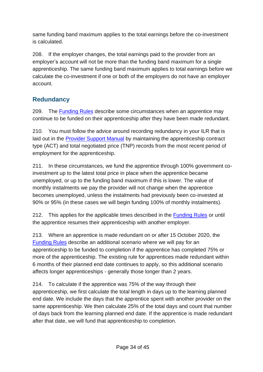same funding band maximum applies to the total earnings before the co-investment is calculated.

208. If the employer changes, the total earnings paid to the provider from an employer's account will not be more than the funding band maximum for a single apprenticeship. The same funding band maximum applies to total earnings before we calculate the co-investment if one or both of the employers do not have an employer account.

#### <span id="page-33-0"></span>**Redundancy**

209. The [Funding Rules](https://www.gov.uk/guidance/apprenticeship-funding-rules) describe some circumstances when an apprentice may continue to be funded on their apprenticeship after they have been made redundant.

210. You must follow the advice around recording redundancy in your ILR that is laid out in the [Provider Support Manual](https://guidance.submitlearnerdatabeta.fasst.org.uk/psm/article/funding-model-36-recording-changes) by maintaining the apprenticeship contract type (ACT) and total negotiated price (TNP) records from the most recent period of employment for the apprenticeship.

211. In these circumstances, we fund the apprentice through 100% government coinvestment up to the latest total price in place when the apprentice became unemployed, or up to the funding band maximum if this is lower. The value of monthly instalments we pay the provider will not change when the apprentice becomes unemployed, unless the instalments had previously been co-invested at 90% or 95% (in these cases we will begin funding 100% of monthly instalments).

212. This applies for the applicable times described in the [Funding Rules](https://www.gov.uk/guidance/apprenticeship-funding-rules) or until the apprentice resumes their apprenticeship with another employer.

<span id="page-33-1"></span>213. Where an apprentice is made redundant on or after 15 October 2020, the [Funding Rules](https://www.gov.uk/guidance/apprenticeship-funding-rules) describe an additional scenario where we will pay for an apprenticeship to be funded to completion if the apprentice has completed 75% or more of the apprenticeship. The existing rule for apprentices made redundant within 6 months of their planned end date continues to apply, so this additional scenario affects longer apprenticeships - generally those longer than 2 years.

214. To calculate if the apprentice was 75% of the way through their apprenticeship, we first calculate the total length in days up to the learning planned end date. We include the days that the apprentice spent with another provider on the same apprenticeship. We then calculate 25% of the total days and count that number of days back from the learning planned end date. If the apprentice is made redundant after that date, we will fund that apprenticeship to completion.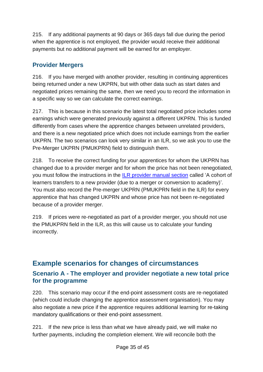215. If any additional payments at 90 days or 365 days fall due during the period when the apprentice is not employed, the provider would receive their additional payments but no additional payment will be earned for an employer.

#### <span id="page-34-0"></span>**Provider Mergers**

216. If you have merged with another provider, resulting in continuing apprentices being returned under a new UKPRN, but with other data such as start dates and negotiated prices remaining the same, then we need you to record the information in a specific way so we can calculate the correct earnings.

217. This is because in this scenario the latest total negotiated price includes some earnings which were generated previously against a different UKPRN. This is funded differently from cases where the apprentice changes between unrelated providers, and there is a new negotiated price which does not include earnings from the earlier UKPRN. The two scenarios can look very similar in an ILR, so we ask you to use the Pre-Merger UKPRN (PMUKPRN) field to distinguish them.

218. To receive the correct funding for your apprentices for whom the UKPRN has changed due to a provider merger and for whom the price has not been renegotiated, you must follow the instructions in the [ILR provider manual section](https://guidance.submitlearnerdatabeta.fasst.org.uk/psm/article/recording-breaks-in-learning-transfers-and-restarts) called 'A cohort of learners transfers to a new provider (due to a merger or conversion to academy)'. You must also record the Pre-merger UKPRN (PMUKPRN field in the ILR) for every apprentice that has changed UKPRN and whose price has not been re-negotiated because of a provider merger.

219. If prices were re-negotiated as part of a provider merger, you should not use the PMUKPRN field in the ILR, as this will cause us to calculate your funding incorrectly.

#### <span id="page-34-2"></span><span id="page-34-1"></span>**Example scenarios for changes of circumstances Scenario A - The employer and provider negotiate a new total price for the programme**

220. This scenario may occur if the end-point assessment costs are re-negotiated (which could include changing the apprentice assessment organisation). You may also negotiate a new price if the apprentice requires additional learning for re-taking mandatory qualifications or their end-point assessment.

221. If the new price is less than what we have already paid, we will make no further payments, including the completion element. We will reconcile both the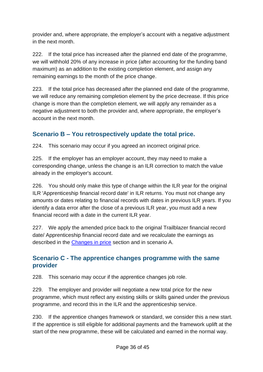provider and, where appropriate, the employer's account with a negative adjustment in the next month.

222. If the total price has increased after the planned end date of the programme, we will withhold 20% of any increase in price (after accounting for the funding band maximum) as an addition to the existing completion element, and assign any remaining earnings to the month of the price change.

223. If the total price has decreased after the planned end date of the programme, we will reduce any remaining completion element by the price decrease. If this price change is more than the completion element, we will apply any remainder as a negative adjustment to both the provider and, where appropriate, the employer's account in the next month.

#### <span id="page-35-0"></span>**Scenario B – You retrospectively update the total price.**

224. This scenario may occur if you agreed an incorrect original price.

225. If the employer has an employer account, they may need to make a corresponding change, unless the change is an ILR correction to match the value already in the employer's account.

226. You should only make this type of change within the ILR year for the original ILR 'Apprenticeship financial record date' in ILR returns. You must not change any amounts or dates relating to financial records with dates in previous ILR years. If you identify a data error after the close of a previous ILR year, you must add a new financial record with a date in the current ILR year.

227. We apply the amended price back to the original Trailblazer financial record date/ Apprenticeship financial record date and we recalculate the earnings as described in the [Changes in price](#page-28-3) section and in scenario A.

#### <span id="page-35-1"></span>**Scenario C - The apprentice changes programme with the same provider**

228. This scenario may occur if the apprentice changes job role.

229. The employer and provider will negotiate a new total price for the new programme, which must reflect any existing skills or skills gained under the previous programme, and record this in the ILR and the apprenticeship service.

230. If the apprentice changes framework or standard, we consider this a new start. If the apprentice is still eligible for additional payments and the framework uplift at the start of the new programme, these will be calculated and earned in the normal way.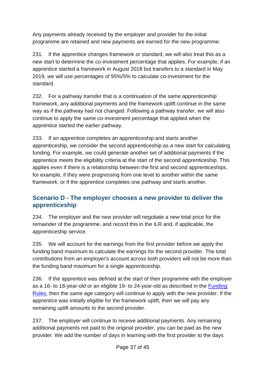Any payments already received by the employer and provider for the initial programme are retained and new payments are earned for the new programme.

231. If the apprentice changes framework or standard, we will also treat this as a new start to determine the co-investment percentage that applies. For example, if an apprentice started a framework in August 2018 but transfers to a standard in May 2019, we will use percentages of 95%/5% to calculate co-investment for the standard.

232. For a pathway transfer that is a continuation of the same apprenticeship framework, any additional payments and the framework uplift continue in the same way as if the pathway had not changed. Following a pathway transfer, we will also continue to apply the same co-investment percentage that applied when the apprentice started the earlier pathway.

233. If an apprentice completes an apprenticeship and starts another apprenticeship, we consider the second apprenticeship as a new start for calculating funding. For example, we could generate another set of additional payments if the apprentice meets the eligibility criteria at the start of the second apprenticeship. This applies even if there is a relationship between the first and second apprenticeships, for example, if they were progressing from one level to another within the same framework, or if the apprentice completes one pathway and starts another.

#### <span id="page-36-0"></span>**Scenario D - The employer chooses a new provider to deliver the apprenticeship**

234. The employer and the new provider will negotiate a new total price for the remainder of the programme, and record this in the ILR and, if applicable, the apprenticeship service.

235. We will account for the earnings from the first provider before we apply the funding band maximum to calculate the earnings for the second provider. The total contributions from an employer's account across both providers will not be more than the funding band maximum for a single apprenticeship.

236. If the apprentice was defined at the start of their programme with the employer as a 16- to 18-year-old or an eligible 19- to 24-year-old as described in the [Funding](https://www.gov.uk/guidance/apprenticeship-funding-rules)  [Rules,](https://www.gov.uk/guidance/apprenticeship-funding-rules) then the same age category will continue to apply with the new provider. If the apprentice was initially eligible for the framework uplift, then we will pay any remaining uplift amounts to the second provider.

237. The employer will continue to receive additional payments. Any remaining additional payments not paid to the original provider, you can be paid as the new provider. We add the number of days in learning with the first provider to the days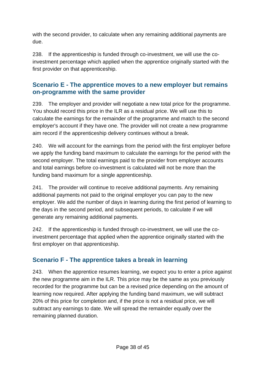with the second provider, to calculate when any remaining additional payments are due.

238. If the apprenticeship is funded through co-investment, we will use the coinvestment percentage which applied when the apprentice originally started with the first provider on that apprenticeship.

#### <span id="page-37-0"></span>**Scenario E - The apprentice moves to a new employer but remains on-programme with the same provider**

239. The employer and provider will negotiate a new total price for the programme. You should record this price in the ILR as a residual price. We will use this to calculate the earnings for the remainder of the programme and match to the second employer's account if they have one. The provider will not create a new programme aim record if the apprenticeship delivery continues without a break.

240. We will account for the earnings from the period with the first employer before we apply the funding band maximum to calculate the earnings for the period with the second employer. The total earnings paid to the provider from employer accounts and total earnings before co-investment is calculated will not be more than the funding band maximum for a single apprenticeship.

241. The provider will continue to receive additional payments. Any remaining additional payments not paid to the original employer you can pay to the new employer. We add the number of days in learning during the first period of learning to the days in the second period, and subsequent periods, to calculate if we will generate any remaining additional payments.

242. If the apprenticeship is funded through co-investment, we will use the coinvestment percentage that applied when the apprentice originally started with the first employer on that apprenticeship.

#### <span id="page-37-1"></span>**Scenario F - The apprentice takes a break in learning**

243. When the apprentice resumes learning, we expect you to enter a price against the new programme aim in the ILR. This price may be the same as you previously recorded for the programme but can be a revised price depending on the amount of learning now required. After applying the funding band maximum, we will subtract 20% of this price for completion and, if the price is not a residual price, we will subtract any earnings to date. We will spread the remainder equally over the remaining planned duration.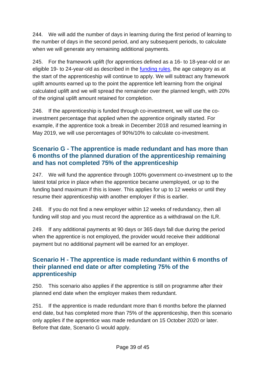244. We will add the number of days in learning during the first period of learning to the number of days in the second period, and any subsequent periods, to calculate when we will generate any remaining additional payments.

245. For the framework uplift (for apprentices defined as a 16- to 18-year-old or an eligible 19- to 24-year-old as described in the [funding rules,](https://www.gov.uk/guidance/apprenticeship-funding-rules) the age category as at the start of the apprenticeship will continue to apply. We will subtract any framework uplift amounts earned up to the point the apprentice left learning from the original calculated uplift and we will spread the remainder over the planned length, with 20% of the original uplift amount retained for completion.

246. If the apprenticeship is funded through co-investment, we will use the coinvestment percentage that applied when the apprentice originally started. For example, if the apprentice took a break in December 2018 and resumed learning in May 2019, we will use percentages of 90%/10% to calculate co-investment.

#### <span id="page-38-0"></span>**Scenario G - The apprentice is made redundant and has more than 6 months of the planned duration of the apprenticeship remaining and has not completed 75% of the apprenticeship**

247. We will fund the apprentice through 100% government co-investment up to the latest total price in place when the apprentice became unemployed, or up to the funding band maximum if this is lower. This applies for up to 12 weeks or until they resume their apprenticeship with another employer if this is earlier.

248. If you do not find a new employer within 12 weeks of redundancy, then all funding will stop and you must record the apprentice as a withdrawal on the ILR.

249. If any additional payments at 90 days or 365 days fall due during the period when the apprentice is not employed, the provider would receive their additional payment but no additional payment will be earned for an employer.

#### <span id="page-38-1"></span>**Scenario H - The apprentice is made redundant within 6 months of their planned end date or after completing 75% of the apprenticeship**

250. This scenario also applies if the apprentice is still on programme after their planned end date when the employer makes them redundant.

251. If the apprentice is made redundant more than 6 months before the planned end date, but has completed more than 75% of the apprenticeship, then this scenario only applies if the apprentice was made redundant on 15 October 2020 or later. Before that date, Scenario G would apply.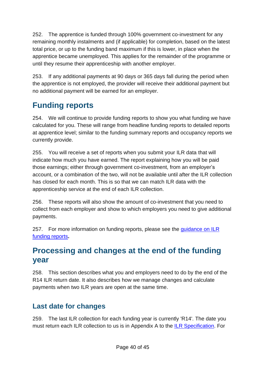252. The apprentice is funded through 100% government co-investment for any remaining monthly instalments and (if applicable) for completion, based on the latest total price, or up to the funding band maximum if this is lower, in place when the apprentice became unemployed. This applies for the remainder of the programme or until they resume their apprenticeship with another employer.

253. If any additional payments at 90 days or 365 days fall during the period when the apprentice is not employed, the provider will receive their additional payment but no additional payment will be earned for an employer.

# <span id="page-39-0"></span>**Funding reports**

254. We will continue to provide funding reports to show you what funding we have calculated for you. These will range from headline funding reports to detailed reports at apprentice level; similar to the funding summary reports and occupancy reports we currently provide.

255. You will receive a set of reports when you submit your ILR data that will indicate how much you have earned. The report explaining how you will be paid those earnings; either through government co-investment, from an employer's account, or a combination of the two, will not be available until after the ILR collection has closed for each month. This is so that we can match ILR data with the apprenticeship service at the end of each ILR collection.

256. These reports will also show the amount of co-investment that you need to collect from each employer and show to which employers you need to give additional payments.

257. For more information on funding reports, please see the guidance on ILR [funding reports](https://www.gov.uk/government/publications/individualised-learner-record-ilr-check-that-data-is-accurate)**.**

# <span id="page-39-1"></span>**Processing and changes at the end of the funding year**

258. This section describes what you and employers need to do by the end of the R14 ILR return date. It also describes how we manage changes and calculate payments when two ILR years are open at the same time.

## <span id="page-39-2"></span>**Last date for changes**

259. The last ILR collection for each funding year is currently 'R14'. The date you must return each ILR collection to us is in Appendix A to the [ILR Specification.](https://guidance.submitlearnerdatabeta.fasst.org.uk/ilr) For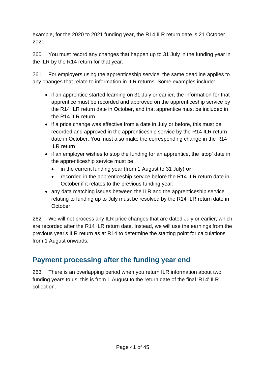example, for the 2020 to 2021 funding year, the R14 ILR return date is 21 October 2021.

260. You must record any changes that happen up to 31 July in the funding year in the ILR by the R14 return for that year.

261. For employers using the apprenticeship service, the same deadline applies to any changes that relate to information in ILR returns. Some examples include:

- if an apprentice started learning on 31 July or earlier, the information for that apprentice must be recorded and approved on the apprenticeship service by the R14 ILR return date in October, and that apprentice must be included in the R14 ILR return
- if a price change was effective from a date in July or before, this must be recorded and approved in the apprenticeship service by the R14 ILR return date in October. You must also make the corresponding change in the R14 ILR return
- if an employer wishes to stop the funding for an apprentice, the 'stop' date in the apprenticeship service must be:
	- in the current funding year (from 1 August to 31 July) **or**
	- recorded in the apprenticeship service before the R14 ILR return date in October if it relates to the previous funding year.
- any data matching issues between the ILR and the apprenticeship service relating to funding up to July must be resolved by the R14 ILR return date in October.

262. We will not process any ILR price changes that are dated July or earlier, which are recorded after the R14 ILR return date. Instead, we will use the earnings from the previous year's ILR return as at R14 to determine the starting point for calculations from 1 August onwards.

## <span id="page-40-0"></span>**Payment processing after the funding year end**

263. There is an overlapping period when you return ILR information about two funding years to us; this is from 1 August to the return date of the final 'R14' ILR collection.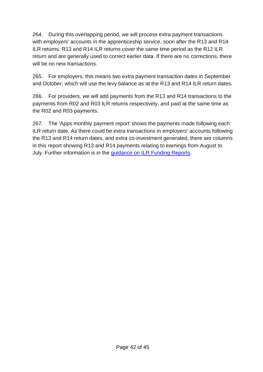264. During this overlapping period, we will process extra payment transactions with employers' accounts in the apprenticeship service, soon after the R13 and R14 ILR returns. R13 and R14 ILR returns cover the same time period as the R12 ILR return and are generally used to correct earlier data. If there are no corrections, there will be no new transactions.

265. For employers, this means two extra payment transaction dates in September and October, which will use the levy balance as at the R13 and R14 ILR return dates.

266. For providers, we will add payments from the R13 and R14 transactions to the payments from R02 and R03 ILR returns respectively, and paid at the same time as the R02 and R03 payments.

267. The 'Apps monthly payment report' shows the payments made following each ILR return date. As there could be extra transactions in employers' accounts following the R13 and R14 return dates, and extra co-investment generated, there are columns in this report showing R13 and R14 payments relating to earnings from August to July. Further information is in the [guidance on ILR Funding Reports.](https://www.gov.uk/government/publications/individualised-learner-record-ilr-check-that-data-is-accurate)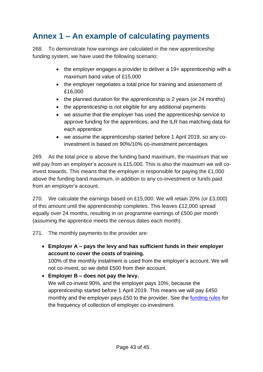# <span id="page-42-0"></span>**Annex 1 – An example of calculating payments**

268. To demonstrate how earnings are calculated in the new apprenticeship funding system, we have used the following scenario:

- the employer engages a provider to deliver a 19+ apprenticeship with a maximum band value of £15,000
- the employer negotiates a total price for training and assessment of £16,000
- the planned duration for the apprenticeship is 2 years (or 24 months)
- the apprenticeship is not eligible for any additional payments
- we assume that the employer has used the apprenticeship service to approve funding for the apprentices, and the ILR has matching data for each apprentice
- we assume the apprenticeship started before 1 April 2019, so any coinvestment is based on 90%/10% co-investment percentages

269. As the total price is above the funding band maximum, the maximum that we will pay from an employer's account is £15,000. This is also the maximum we will coinvest towards. This means that the employer is responsible for paying the £1,000 above the funding band maximum, in addition to any co-investment or funds paid from an employer's account.

270. We calculate the earnings based on £15,000. We will retain 20% (or £3,000) of this amount until the apprenticeship completes. This leaves £12,000 spread equally over 24 months, resulting in on programme earnings of £500 per month (assuming the apprentice meets the census dates each month).

- 271. The monthly payments to the provider are:
	- **Employer A – pays the levy and has sufficient funds in their employer account to cover the costs of training.** 100% of the monthly instalment is used from the employer's account. We will not co-invest, so we debit £500 from their account.

• **Employer B – does not pay the levy.** We will co-invest 90%, and the employer pays 10%, because the apprenticeship started before 1 April 2019. This means we will pay £450 monthly and the employer pays £50 to the provider. See the [funding rules](https://www.gov.uk/guidance/apprenticeship-funding-rules) for the frequency of collection of employer co-investment.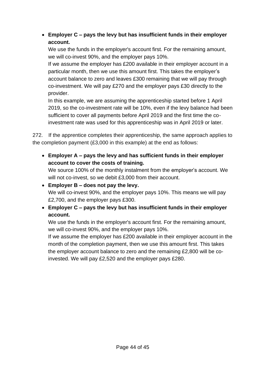#### • **Employer C – pays the levy but has insufficient funds in their employer account.**

We use the funds in the employer's account first. For the remaining amount, we will co-invest 90%, and the employer pays 10%.

If we assume the employer has £200 available in their employer account in a particular month, then we use this amount first. This takes the employer's account balance to zero and leaves £300 remaining that we will pay through co-investment. We will pay £270 and the employer pays £30 directly to the provider.

In this example, we are assuming the apprenticeship started before 1 April 2019, so the co-investment rate will be 10%, even if the levy balance had been sufficient to cover all payments before April 2019 and the first time the coinvestment rate was used for this apprenticeship was in April 2019 or later.

272. If the apprentice completes their apprenticeship, the same approach applies to the completion payment (£3,000 in this example) at the end as follows:

• **Employer A – pays the levy and has sufficient funds in their employer account to cover the costs of training.**

We source 100% of the monthly instalment from the employer's account. We will not co-invest, so we debit £3,000 from their account.

- **Employer B – does not pay the levy.** We will co-invest 90%, and the employer pays 10%. This means we will pay £2,700, and the employer pays £300.
- **Employer C – pays the levy but has insufficient funds in their employer account.**

We use the funds in the employer's account first. For the remaining amount, we will co-invest 90%, and the employer pays 10%.

If we assume the employer has £200 available in their employer account in the month of the completion payment, then we use this amount first. This takes the employer account balance to zero and the remaining £2,800 will be coinvested. We will pay £2,520 and the employer pays £280.